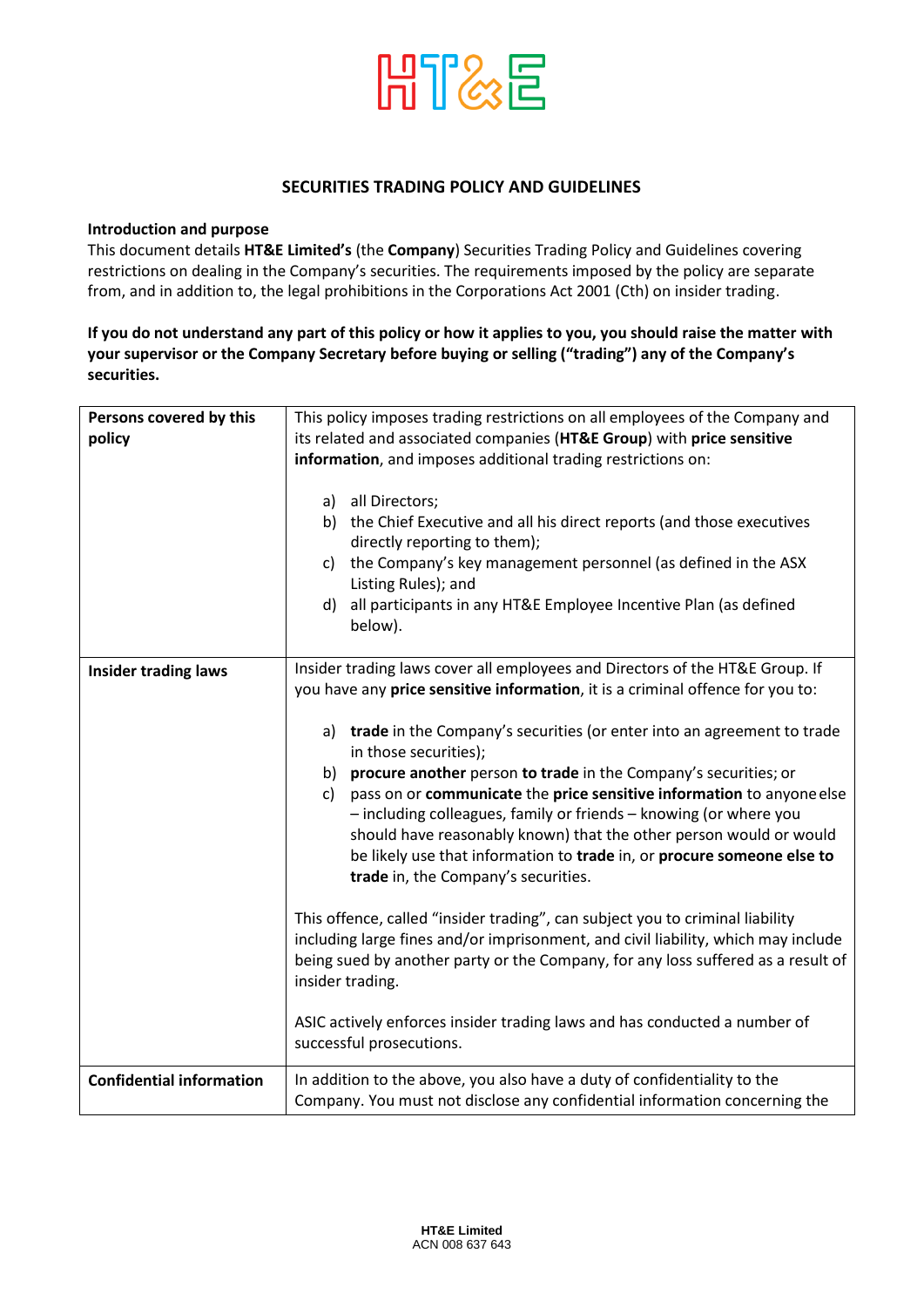

### **SECURITIES TRADING POLICY AND GUIDELINES**

#### **Introduction and purpose**

This document details **HT&E Limited's** (the **Company**) Securities Trading Policy and Guidelines covering restrictions on dealing in the Company's securities. The requirements imposed by the policy are separate from, and in addition to, the legal prohibitions in the Corporations Act 2001 (Cth) on insider trading.

## **If you do not understand any part of this policy or how it applies to you, you should raise the matter with your supervisor or the Company Secretary before buying or selling ("trading") any of the Company's securities.**

| Persons covered by this         | This policy imposes trading restrictions on all employees of the Company and                                                                      |
|---------------------------------|---------------------------------------------------------------------------------------------------------------------------------------------------|
| policy                          | its related and associated companies (HT&E Group) with price sensitive                                                                            |
|                                 | information, and imposes additional trading restrictions on:                                                                                      |
|                                 |                                                                                                                                                   |
|                                 | a) all Directors;                                                                                                                                 |
|                                 | the Chief Executive and all his direct reports (and those executives<br>b)<br>directly reporting to them);                                        |
|                                 | the Company's key management personnel (as defined in the ASX<br>C)                                                                               |
|                                 | Listing Rules); and                                                                                                                               |
|                                 | all participants in any HT&E Employee Incentive Plan (as defined<br>d)                                                                            |
|                                 | below).                                                                                                                                           |
|                                 |                                                                                                                                                   |
| <b>Insider trading laws</b>     | Insider trading laws cover all employees and Directors of the HT&E Group. If                                                                      |
|                                 | you have any price sensitive information, it is a criminal offence for you to:                                                                    |
|                                 |                                                                                                                                                   |
|                                 | a) trade in the Company's securities (or enter into an agreement to trade<br>in those securities);                                                |
|                                 |                                                                                                                                                   |
|                                 | b) procure another person to trade in the Company's securities; or<br>pass on or communicate the price sensitive information to anyone else<br>c) |
|                                 | - including colleagues, family or friends - knowing (or where you<br>should have reasonably known) that the other person would or would           |
|                                 | be likely use that information to trade in, or procure someone else to                                                                            |
|                                 | trade in, the Company's securities.                                                                                                               |
|                                 |                                                                                                                                                   |
|                                 | This offence, called "insider trading", can subject you to criminal liability                                                                     |
|                                 | including large fines and/or imprisonment, and civil liability, which may include                                                                 |
|                                 | being sued by another party or the Company, for any loss suffered as a result of                                                                  |
|                                 | insider trading.                                                                                                                                  |
|                                 |                                                                                                                                                   |
|                                 | ASIC actively enforces insider trading laws and has conducted a number of                                                                         |
|                                 | successful prosecutions.                                                                                                                          |
| <b>Confidential information</b> | In addition to the above, you also have a duty of confidentiality to the                                                                          |
|                                 | Company. You must not disclose any confidential information concerning the                                                                        |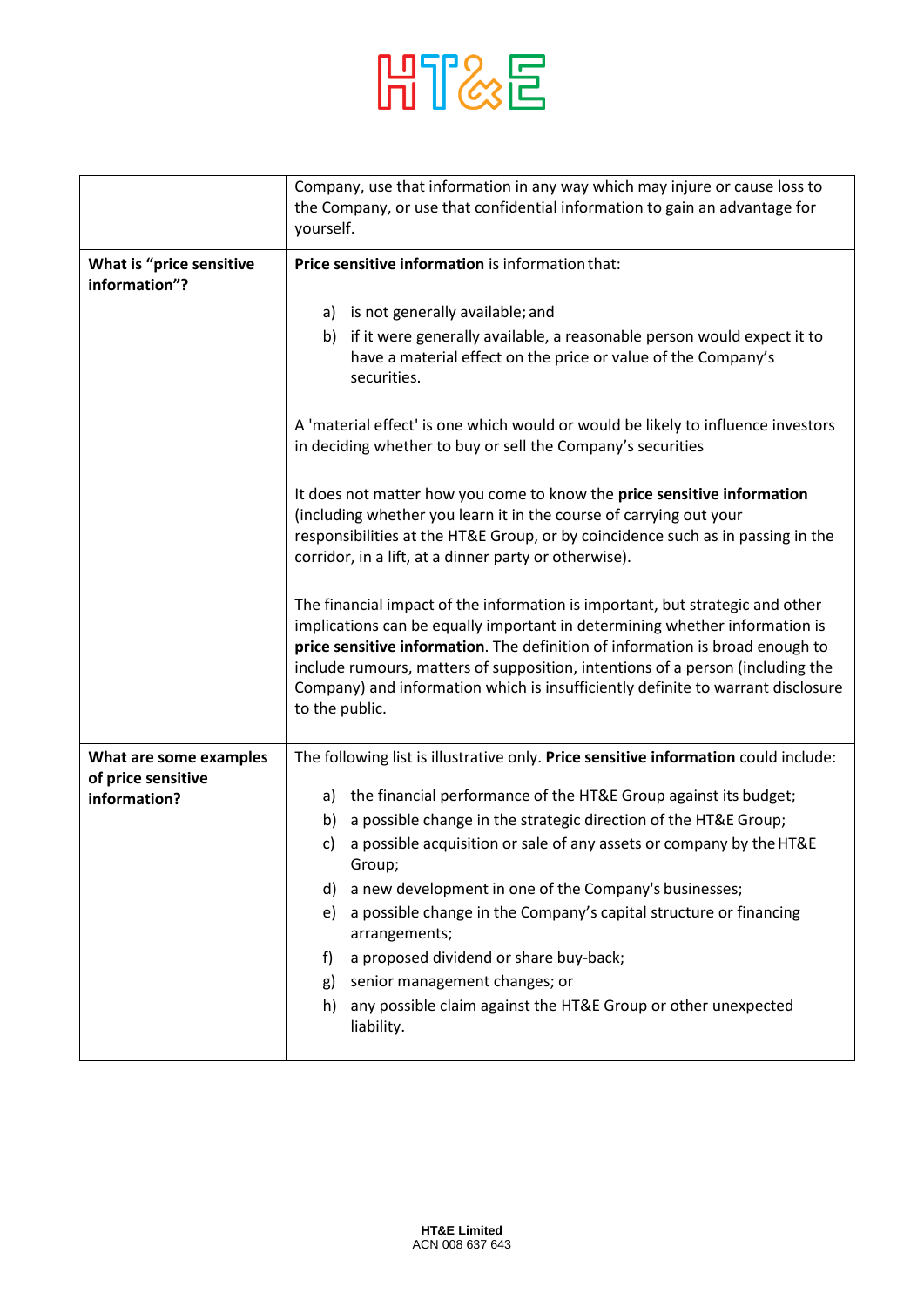

|                                           | Company, use that information in any way which may injure or cause loss to                                                                                                                                                                                                                                                                                                                                                           |
|-------------------------------------------|--------------------------------------------------------------------------------------------------------------------------------------------------------------------------------------------------------------------------------------------------------------------------------------------------------------------------------------------------------------------------------------------------------------------------------------|
|                                           | the Company, or use that confidential information to gain an advantage for                                                                                                                                                                                                                                                                                                                                                           |
|                                           | yourself.                                                                                                                                                                                                                                                                                                                                                                                                                            |
| What is "price sensitive<br>information"? | Price sensitive information is information that:                                                                                                                                                                                                                                                                                                                                                                                     |
|                                           |                                                                                                                                                                                                                                                                                                                                                                                                                                      |
|                                           | is not generally available; and<br>a)                                                                                                                                                                                                                                                                                                                                                                                                |
|                                           | if it were generally available, a reasonable person would expect it to<br>b)<br>have a material effect on the price or value of the Company's<br>securities.                                                                                                                                                                                                                                                                         |
|                                           | A 'material effect' is one which would or would be likely to influence investors<br>in deciding whether to buy or sell the Company's securities                                                                                                                                                                                                                                                                                      |
|                                           | It does not matter how you come to know the price sensitive information<br>(including whether you learn it in the course of carrying out your<br>responsibilities at the HT&E Group, or by coincidence such as in passing in the<br>corridor, in a lift, at a dinner party or otherwise).                                                                                                                                            |
|                                           | The financial impact of the information is important, but strategic and other<br>implications can be equally important in determining whether information is<br>price sensitive information. The definition of information is broad enough to<br>include rumours, matters of supposition, intentions of a person (including the<br>Company) and information which is insufficiently definite to warrant disclosure<br>to the public. |
| What are some examples                    | The following list is illustrative only. Price sensitive information could include:                                                                                                                                                                                                                                                                                                                                                  |
| of price sensitive<br>information?        | a) the financial performance of the HT&E Group against its budget;                                                                                                                                                                                                                                                                                                                                                                   |
|                                           | a possible change in the strategic direction of the HT&E Group;<br>b)                                                                                                                                                                                                                                                                                                                                                                |
|                                           | a possible acquisition or sale of any assets or company by the HT&E<br>c)                                                                                                                                                                                                                                                                                                                                                            |
|                                           | Group;                                                                                                                                                                                                                                                                                                                                                                                                                               |
|                                           | a new development in one of the Company's businesses;<br>d)                                                                                                                                                                                                                                                                                                                                                                          |
|                                           | a possible change in the Company's capital structure or financing<br>e)<br>arrangements;                                                                                                                                                                                                                                                                                                                                             |
|                                           | a proposed dividend or share buy-back;<br>f)                                                                                                                                                                                                                                                                                                                                                                                         |
|                                           | senior management changes; or<br>g)                                                                                                                                                                                                                                                                                                                                                                                                  |
|                                           | any possible claim against the HT&E Group or other unexpected<br>h)<br>liability.                                                                                                                                                                                                                                                                                                                                                    |
|                                           |                                                                                                                                                                                                                                                                                                                                                                                                                                      |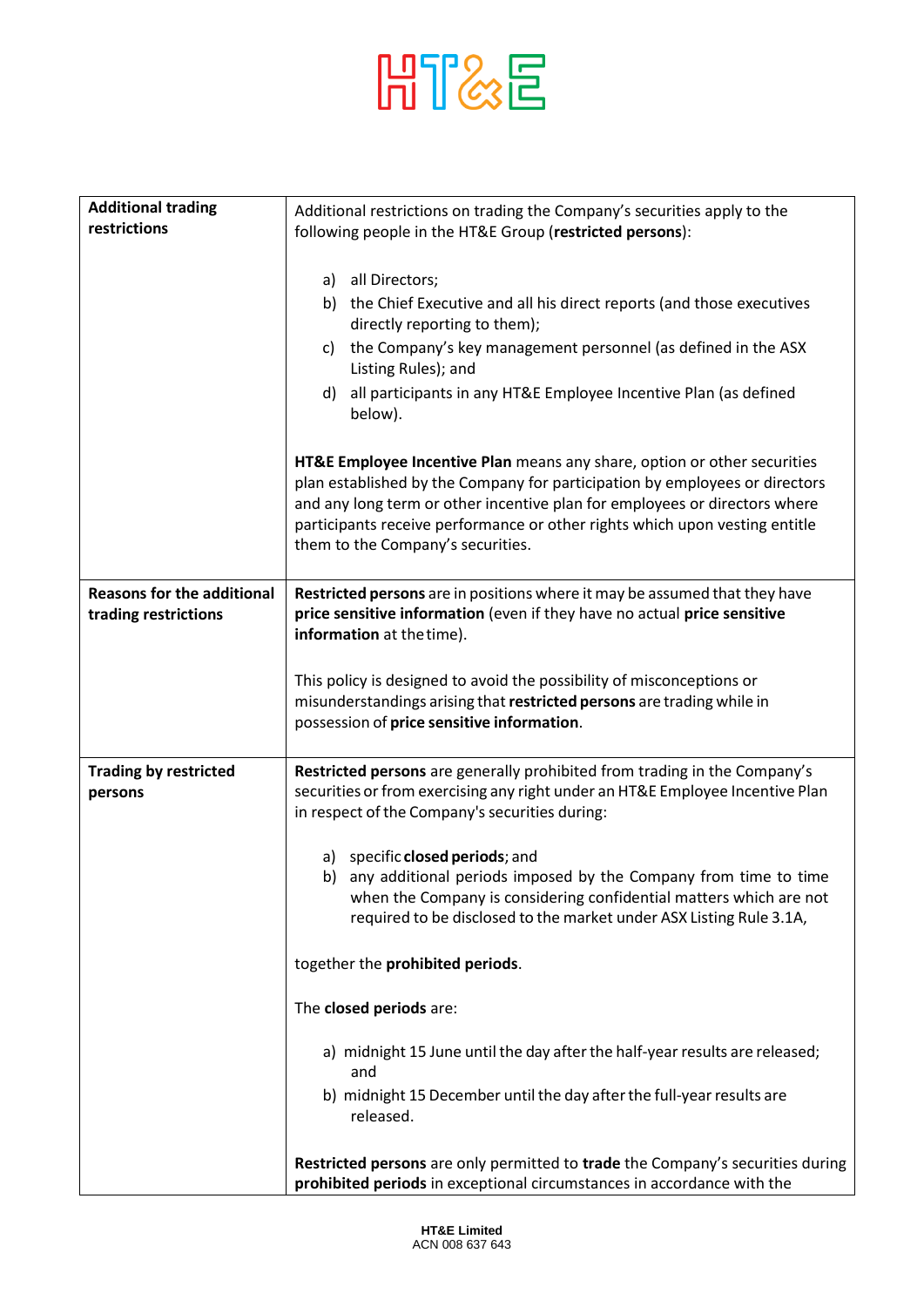## HT&E

| <b>Additional trading</b>                                 | Additional restrictions on trading the Company's securities apply to the                                                                                                                                                                                                                                                                                  |
|-----------------------------------------------------------|-----------------------------------------------------------------------------------------------------------------------------------------------------------------------------------------------------------------------------------------------------------------------------------------------------------------------------------------------------------|
| restrictions                                              | following people in the HT&E Group (restricted persons):                                                                                                                                                                                                                                                                                                  |
|                                                           |                                                                                                                                                                                                                                                                                                                                                           |
|                                                           | all Directors;<br>a)                                                                                                                                                                                                                                                                                                                                      |
|                                                           | b) the Chief Executive and all his direct reports (and those executives                                                                                                                                                                                                                                                                                   |
|                                                           | directly reporting to them);                                                                                                                                                                                                                                                                                                                              |
|                                                           | the Company's key management personnel (as defined in the ASX<br>C)<br>Listing Rules); and                                                                                                                                                                                                                                                                |
|                                                           | all participants in any HT&E Employee Incentive Plan (as defined<br>d)<br>below).                                                                                                                                                                                                                                                                         |
|                                                           | HT&E Employee Incentive Plan means any share, option or other securities<br>plan established by the Company for participation by employees or directors<br>and any long term or other incentive plan for employees or directors where<br>participants receive performance or other rights which upon vesting entitle<br>them to the Company's securities. |
| <b>Reasons for the additional</b><br>trading restrictions | Restricted persons are in positions where it may be assumed that they have<br>price sensitive information (even if they have no actual price sensitive<br>information at the time).                                                                                                                                                                       |
|                                                           | This policy is designed to avoid the possibility of misconceptions or<br>misunderstandings arising that restricted persons are trading while in<br>possession of price sensitive information.                                                                                                                                                             |
| <b>Trading by restricted</b><br>persons                   | Restricted persons are generally prohibited from trading in the Company's<br>securities or from exercising any right under an HT&E Employee Incentive Plan<br>in respect of the Company's securities during:                                                                                                                                              |
|                                                           | specific <b>closed periods</b> ; and<br>a)<br>any additional periods imposed by the Company from time to time<br>b)<br>when the Company is considering confidential matters which are not<br>required to be disclosed to the market under ASX Listing Rule 3.1A,                                                                                          |
|                                                           | together the prohibited periods.                                                                                                                                                                                                                                                                                                                          |
|                                                           | The closed periods are:                                                                                                                                                                                                                                                                                                                                   |
|                                                           | a) midnight 15 June until the day after the half-year results are released;<br>and                                                                                                                                                                                                                                                                        |
|                                                           | b) midnight 15 December until the day after the full-year results are<br>released.                                                                                                                                                                                                                                                                        |
|                                                           | Restricted persons are only permitted to trade the Company's securities during<br>prohibited periods in exceptional circumstances in accordance with the                                                                                                                                                                                                  |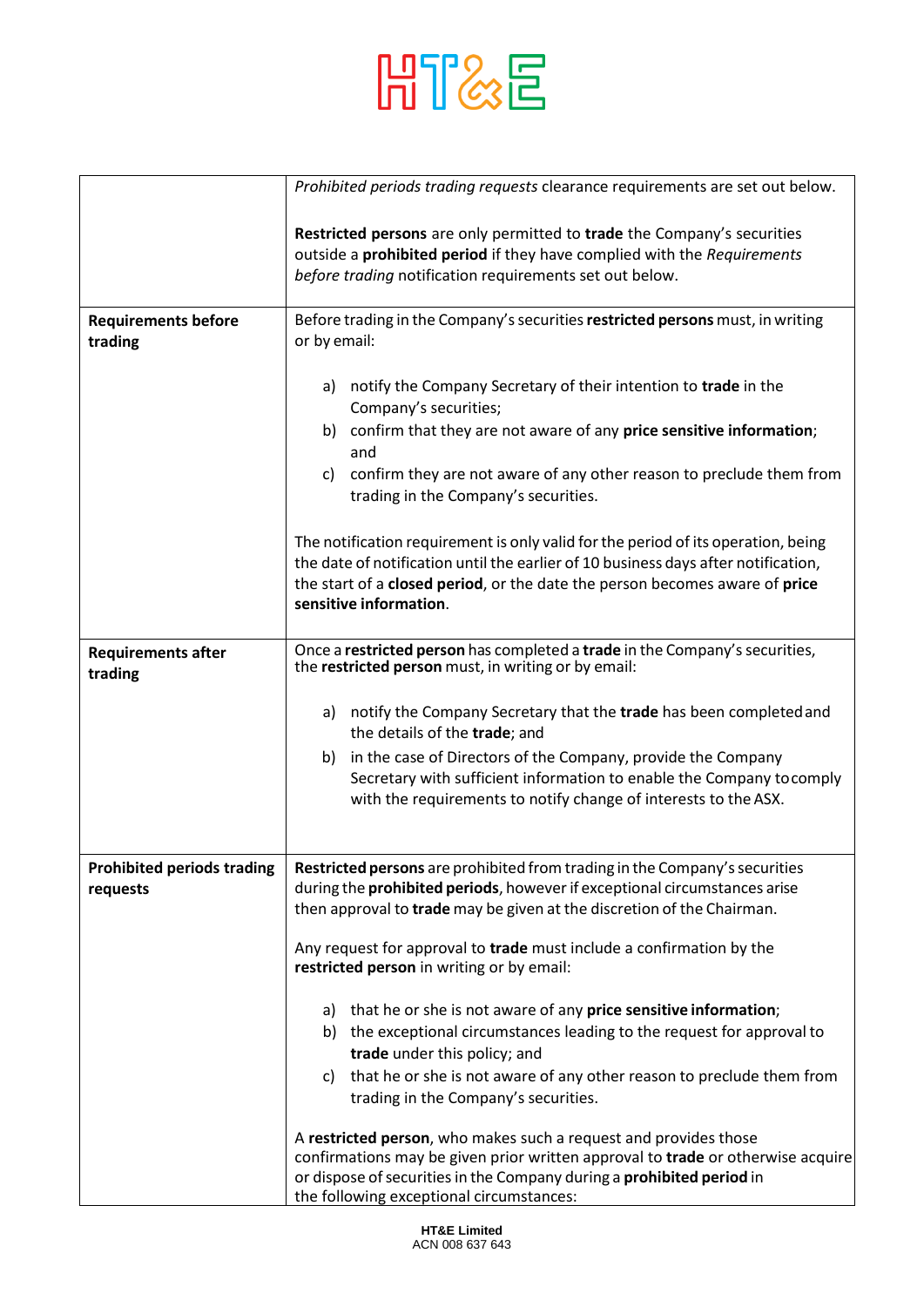

|                                               | Prohibited periods trading requests clearance requirements are set out below.                                                                                                                                                                                                    |
|-----------------------------------------------|----------------------------------------------------------------------------------------------------------------------------------------------------------------------------------------------------------------------------------------------------------------------------------|
|                                               |                                                                                                                                                                                                                                                                                  |
|                                               | Restricted persons are only permitted to trade the Company's securities<br>outside a prohibited period if they have complied with the Requirements<br>before trading notification requirements set out below.                                                                    |
| <b>Requirements before</b><br>trading         | Before trading in the Company's securities restricted persons must, in writing<br>or by email:                                                                                                                                                                                   |
|                                               | a) notify the Company Secretary of their intention to trade in the<br>Company's securities;<br>b) confirm that they are not aware of any price sensitive information;<br>and                                                                                                     |
|                                               | confirm they are not aware of any other reason to preclude them from<br>C)<br>trading in the Company's securities.                                                                                                                                                               |
|                                               | The notification requirement is only valid for the period of its operation, being<br>the date of notification until the earlier of 10 business days after notification,<br>the start of a closed period, or the date the person becomes aware of price<br>sensitive information. |
| <b>Requirements after</b><br>trading          | Once a restricted person has completed a trade in the Company's securities,<br>the restricted person must, in writing or by email:                                                                                                                                               |
|                                               | a) notify the Company Secretary that the trade has been completed and<br>the details of the trade; and                                                                                                                                                                           |
|                                               | in the case of Directors of the Company, provide the Company<br>b)<br>Secretary with sufficient information to enable the Company to comply<br>with the requirements to notify change of interests to the ASX.                                                                   |
| <b>Prohibited periods trading</b><br>requests | Restricted persons are prohibited from trading in the Company's securities<br>during the <b>prohibited periods</b> , however if exceptional circumstances arise<br>then approval to trade may be given at the discretion of the Chairman.                                        |
|                                               | Any request for approval to trade must include a confirmation by the<br>restricted person in writing or by email:                                                                                                                                                                |
|                                               | a) that he or she is not aware of any price sensitive information;                                                                                                                                                                                                               |
|                                               | b) the exceptional circumstances leading to the request for approval to                                                                                                                                                                                                          |
|                                               | trade under this policy; and                                                                                                                                                                                                                                                     |
|                                               | that he or she is not aware of any other reason to preclude them from<br>C)                                                                                                                                                                                                      |
|                                               | trading in the Company's securities.                                                                                                                                                                                                                                             |
|                                               | A restricted person, who makes such a request and provides those                                                                                                                                                                                                                 |
|                                               | confirmations may be given prior written approval to trade or otherwise acquire                                                                                                                                                                                                  |
|                                               | or dispose of securities in the Company during a prohibited period in<br>the following exceptional circumstances:                                                                                                                                                                |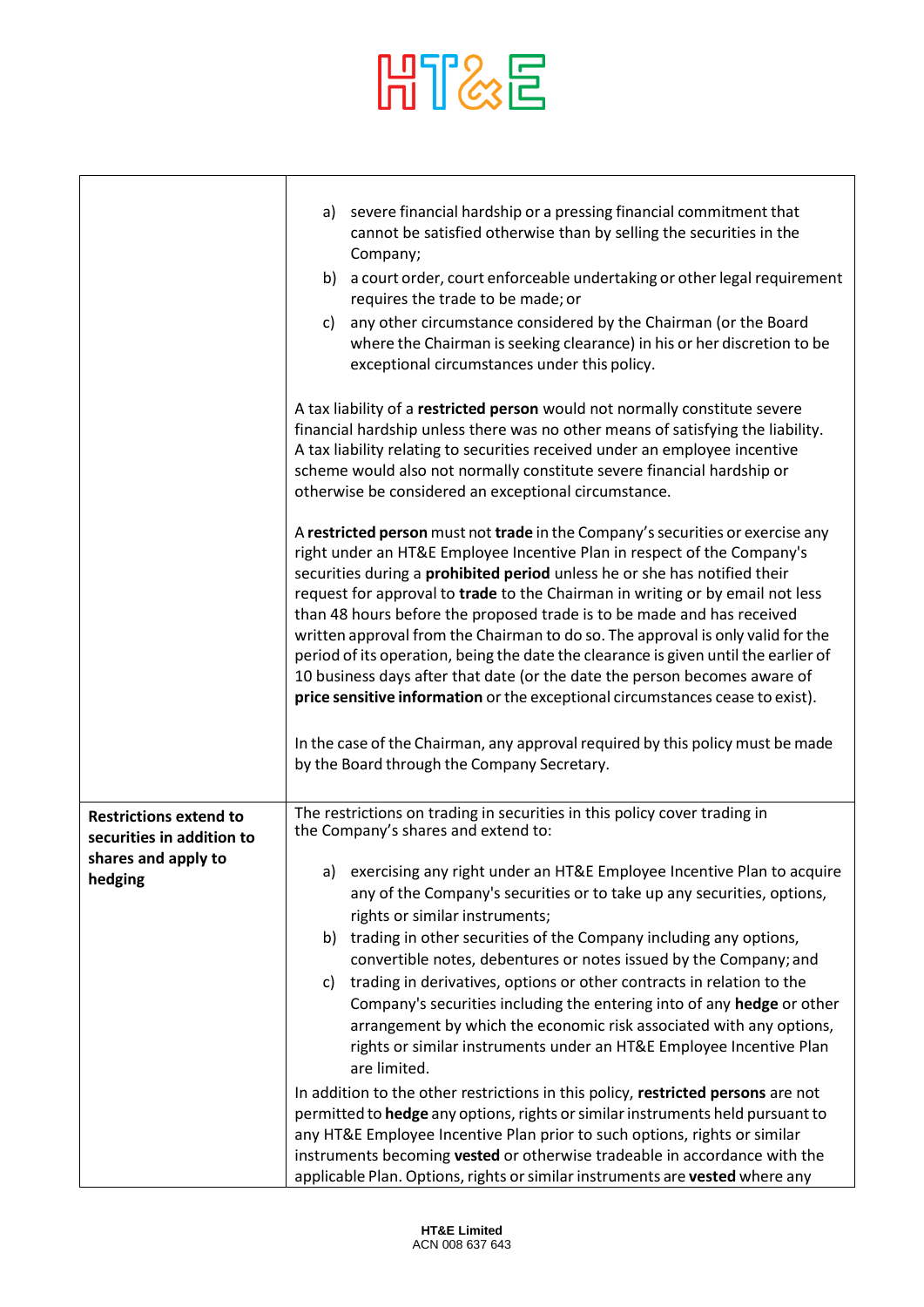# HT&E

|                                                            | severe financial hardship or a pressing financial commitment that<br>a)<br>cannot be satisfied otherwise than by selling the securities in the<br>Company;                                                                                                                                                                                                                                                                                                                                                                                                                                                                                                                                                                                                                                                                        |
|------------------------------------------------------------|-----------------------------------------------------------------------------------------------------------------------------------------------------------------------------------------------------------------------------------------------------------------------------------------------------------------------------------------------------------------------------------------------------------------------------------------------------------------------------------------------------------------------------------------------------------------------------------------------------------------------------------------------------------------------------------------------------------------------------------------------------------------------------------------------------------------------------------|
|                                                            | b) a court order, court enforceable undertaking or other legal requirement<br>requires the trade to be made; or                                                                                                                                                                                                                                                                                                                                                                                                                                                                                                                                                                                                                                                                                                                   |
|                                                            | any other circumstance considered by the Chairman (or the Board<br>C)<br>where the Chairman is seeking clearance) in his or her discretion to be<br>exceptional circumstances under this policy.                                                                                                                                                                                                                                                                                                                                                                                                                                                                                                                                                                                                                                  |
|                                                            | A tax liability of a restricted person would not normally constitute severe<br>financial hardship unless there was no other means of satisfying the liability.<br>A tax liability relating to securities received under an employee incentive<br>scheme would also not normally constitute severe financial hardship or<br>otherwise be considered an exceptional circumstance.                                                                                                                                                                                                                                                                                                                                                                                                                                                   |
|                                                            | A restricted person must not trade in the Company's securities or exercise any<br>right under an HT&E Employee Incentive Plan in respect of the Company's<br>securities during a prohibited period unless he or she has notified their<br>request for approval to trade to the Chairman in writing or by email not less<br>than 48 hours before the proposed trade is to be made and has received<br>written approval from the Chairman to do so. The approval is only valid for the<br>period of its operation, being the date the clearance is given until the earlier of<br>10 business days after that date (or the date the person becomes aware of<br>price sensitive information or the exceptional circumstances cease to exist).<br>In the case of the Chairman, any approval required by this policy must be made       |
|                                                            | by the Board through the Company Secretary.                                                                                                                                                                                                                                                                                                                                                                                                                                                                                                                                                                                                                                                                                                                                                                                       |
| <b>Restrictions extend to</b><br>securities in addition to | The restrictions on trading in securities in this policy cover trading in<br>the Company's shares and extend to:                                                                                                                                                                                                                                                                                                                                                                                                                                                                                                                                                                                                                                                                                                                  |
| shares and apply to<br>hedging                             | a) exercising any right under an HT&E Employee Incentive Plan to acquire<br>any of the Company's securities or to take up any securities, options,<br>rights or similar instruments;<br>trading in other securities of the Company including any options,<br>b)<br>convertible notes, debentures or notes issued by the Company; and<br>trading in derivatives, options or other contracts in relation to the<br>C)<br>Company's securities including the entering into of any hedge or other<br>arrangement by which the economic risk associated with any options,<br>rights or similar instruments under an HT&E Employee Incentive Plan<br>are limited.<br>In addition to the other restrictions in this policy, restricted persons are not<br>permitted to hedge any options, rights or similar instruments held pursuant to |
|                                                            |                                                                                                                                                                                                                                                                                                                                                                                                                                                                                                                                                                                                                                                                                                                                                                                                                                   |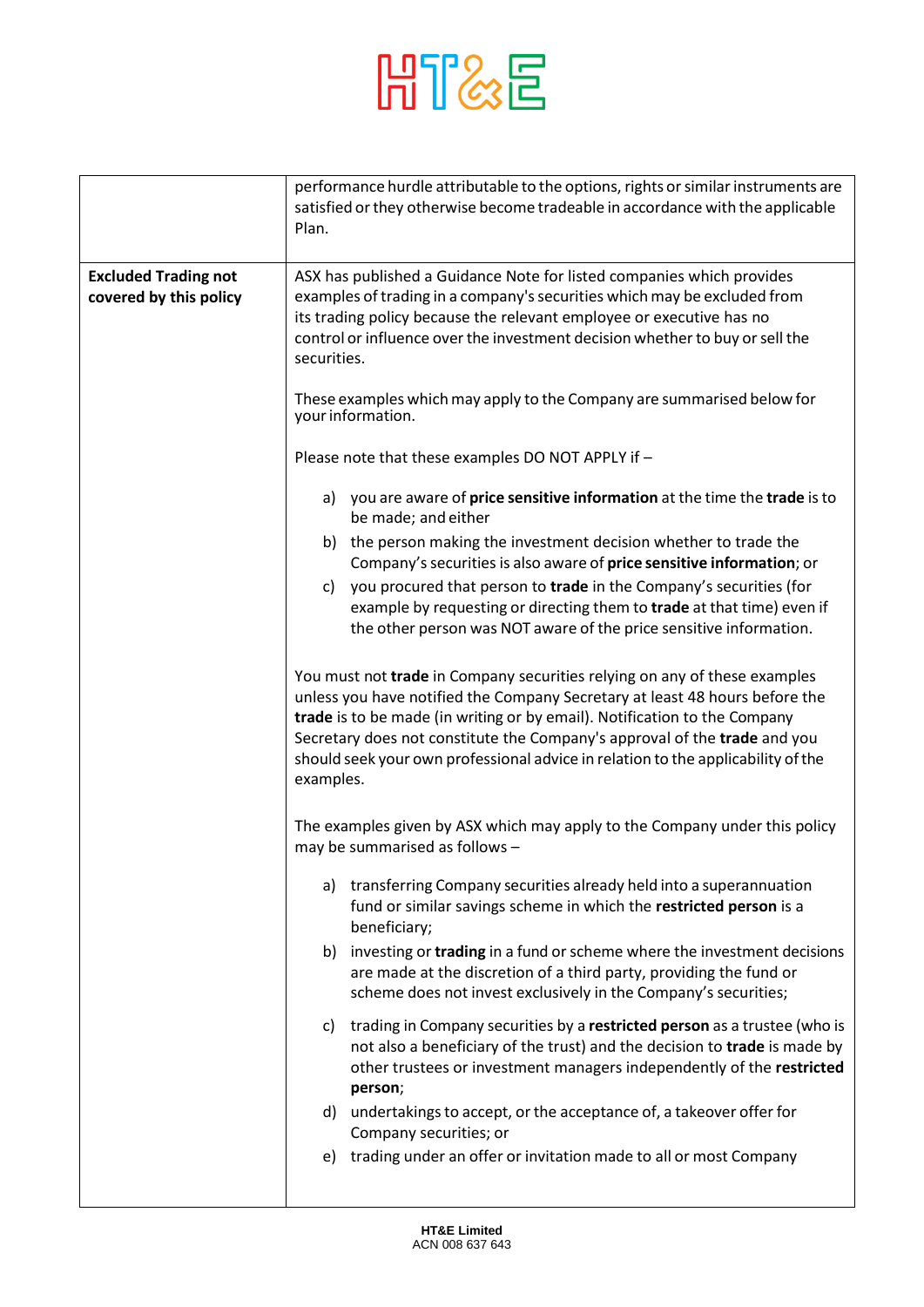

|                                                       | performance hurdle attributable to the options, rights or similar instruments are<br>satisfied or they otherwise become tradeable in accordance with the applicable<br>Plan.                                                                                                                                                                                                                                        |
|-------------------------------------------------------|---------------------------------------------------------------------------------------------------------------------------------------------------------------------------------------------------------------------------------------------------------------------------------------------------------------------------------------------------------------------------------------------------------------------|
| <b>Excluded Trading not</b><br>covered by this policy | ASX has published a Guidance Note for listed companies which provides<br>examples of trading in a company's securities which may be excluded from<br>its trading policy because the relevant employee or executive has no<br>control or influence over the investment decision whether to buy or sell the<br>securities.                                                                                            |
|                                                       | These examples which may apply to the Company are summarised below for<br>your information.                                                                                                                                                                                                                                                                                                                         |
|                                                       | Please note that these examples DO NOT APPLY if -                                                                                                                                                                                                                                                                                                                                                                   |
|                                                       | a) you are aware of price sensitive information at the time the trade is to<br>be made; and either                                                                                                                                                                                                                                                                                                                  |
|                                                       | b) the person making the investment decision whether to trade the<br>Company's securities is also aware of price sensitive information; or                                                                                                                                                                                                                                                                          |
|                                                       | you procured that person to trade in the Company's securities (for<br>c)<br>example by requesting or directing them to trade at that time) even if<br>the other person was NOT aware of the price sensitive information.                                                                                                                                                                                            |
|                                                       | You must not trade in Company securities relying on any of these examples<br>unless you have notified the Company Secretary at least 48 hours before the<br>trade is to be made (in writing or by email). Notification to the Company<br>Secretary does not constitute the Company's approval of the trade and you<br>should seek your own professional advice in relation to the applicability of the<br>examples. |
|                                                       | The examples given by ASX which may apply to the Company under this policy<br>may be summarised as follows -                                                                                                                                                                                                                                                                                                        |
|                                                       | transferring Company securities already held into a superannuation<br>a)<br>fund or similar savings scheme in which the restricted person is a<br>beneficiary;                                                                                                                                                                                                                                                      |
|                                                       | investing or trading in a fund or scheme where the investment decisions<br>b)<br>are made at the discretion of a third party, providing the fund or<br>scheme does not invest exclusively in the Company's securities;                                                                                                                                                                                              |
|                                                       | trading in Company securities by a restricted person as a trustee (who is<br>C)<br>not also a beneficiary of the trust) and the decision to trade is made by<br>other trustees or investment managers independently of the restricted<br>person;                                                                                                                                                                    |
|                                                       | undertakings to accept, or the acceptance of, a takeover offer for<br>d)<br>Company securities; or                                                                                                                                                                                                                                                                                                                  |
|                                                       | trading under an offer or invitation made to all or most Company<br>e)                                                                                                                                                                                                                                                                                                                                              |